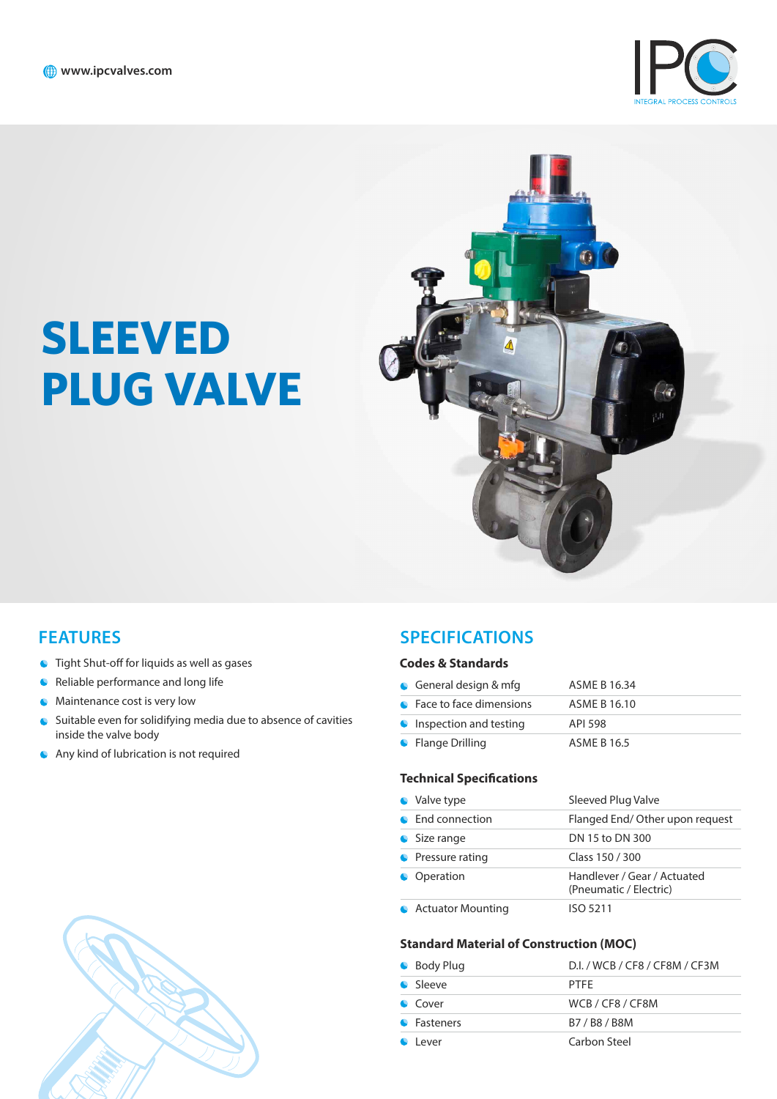

# **SLEEVED PLUG VALVE**



- $\bullet$  Tight Shut-off for liquids as well as gases
- **C** Reliable performance and long life
- **Maintenance cost is very low**
- Suitable even for solidifying media due to absence of cavities inside the valve body
- Any kind of lubrication is not required

#### **FEATURES SPECIFICATIONS**

#### **Codes & Standards**

| General design $&$ mfg           | ASME B 16.34 |
|----------------------------------|--------------|
| • Face to face dimensions        | ASME B 16.10 |
| $\bullet$ Inspection and testing | API 598      |
| • Flange Drilling                | ASME B 16.5  |

#### **Technical Specifications**

| Valve type               | Sleeved Plug Valve                                    |
|--------------------------|-------------------------------------------------------|
| End connection           | Flanged End/Other upon request                        |
| • Size range             | DN 15 to DN 300                                       |
| • Pressure rating        | Class 150 / 300                                       |
| Operation                | Handlever / Gear / Actuated<br>(Pneumatic / Electric) |
| <b>Actuator Mounting</b> | ISO 5211                                              |

#### **Standard Material of Construction (MOC)**

| • Body Plug     | D.I. / WCB / CF8 / CF8M / CF3M |
|-----------------|--------------------------------|
| Sleeve          | <b>PTFF</b>                    |
| $\bullet$ Cover | WCB / CF8 / CF8M               |
| • Fasteners     | B7/B8/B8M                      |
| l ever          | Carbon Steel                   |